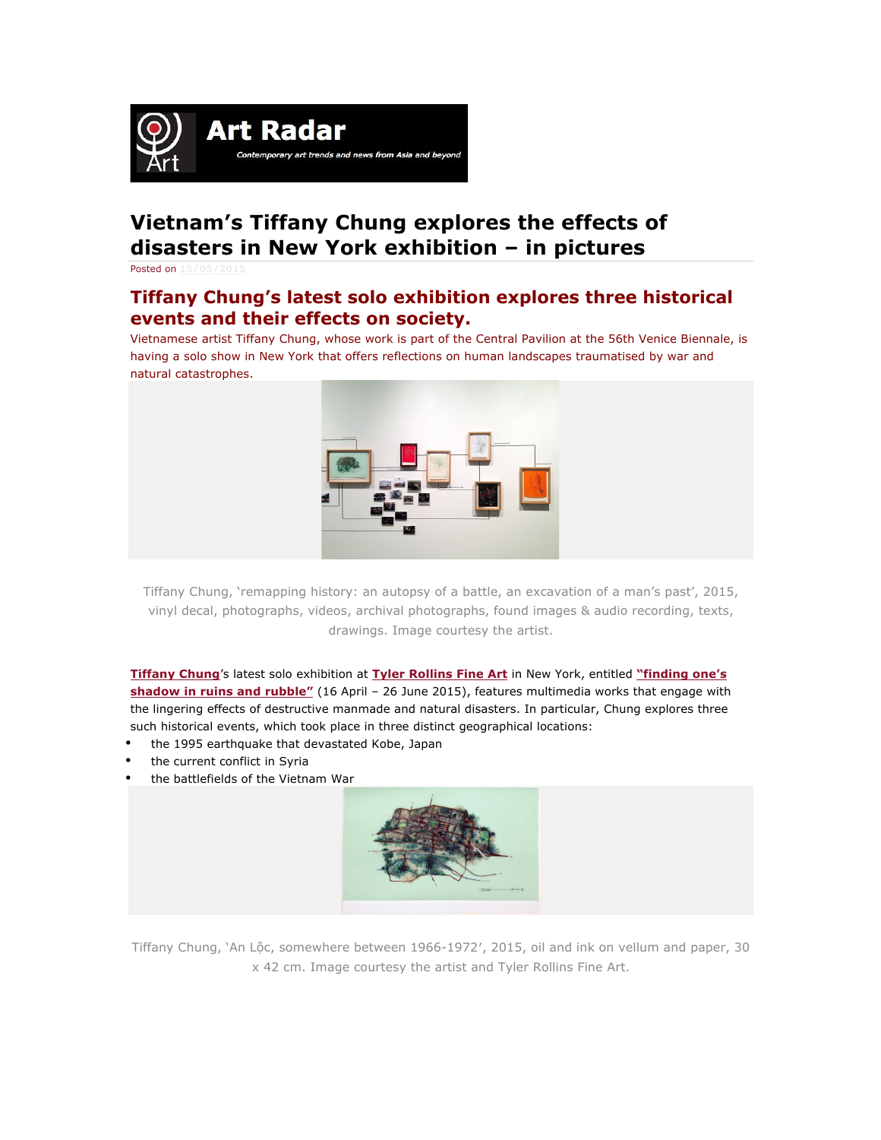

## **Vietnam's Tiffany Chung explores the effects of disasters in New York exhibition – in pictures**

Posted on **15/05/2015**

## **Tiffany Chung's latest solo exhibition explores three historical events and their effects on society.**

Vietnamese artist Tiffany Chung, whose work is part of the Central Pavilion at the 56th Venice Biennale, is having a solo show in New York that offers reflections on human landscapes traumatised by war and natural catastrophes.



Tiffany Chung, 'remapping history: an autopsy of a battle, an excavation of a man's past', 2015, vinyl decal, photographs, videos, archival photographs, found images & audio recording, texts, drawings. Image courtesy the artist.

**Tiffany Chung**'s latest solo exhibition at **Tyler Rollins Fine Art** in New York, entitled **"finding one's shadow in ruins and rubble"** (16 April – 26 June 2015), features multimedia works that engage with the lingering effects of destructive manmade and natural disasters. In particular, Chung explores three such historical events, which took place in three distinct geographical locations:

- the 1995 earthquake that devastated Kobe, Japan
- the current conflict in Syria
- the battlefields of the Vietnam War



Tiffany Chung, 'An Lộc, somewhere between 1966-1972', 2015, oil and ink on vellum and paper, 30 x 42 cm. Image courtesy the artist and Tyler Rollins Fine Art.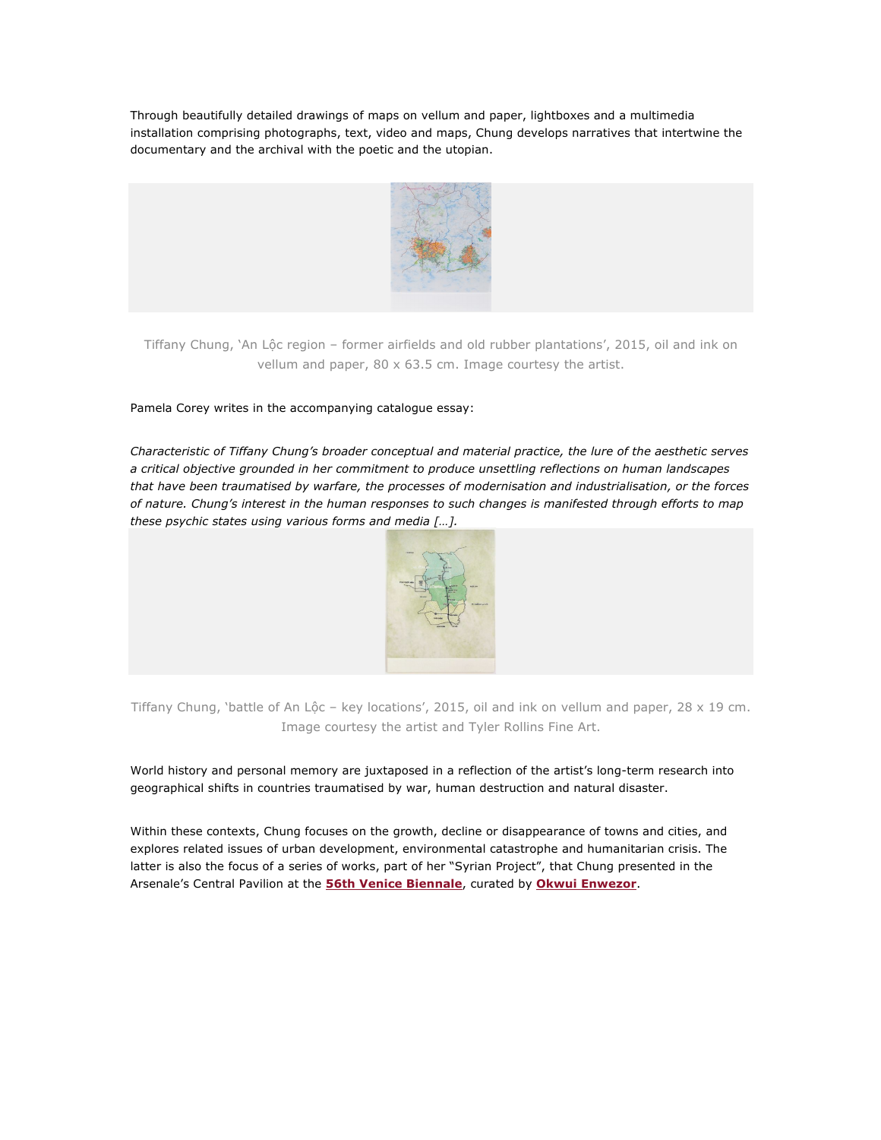Through beautifully detailed drawings of maps on vellum and paper, lightboxes and a multimedia installation comprising photographs, text, video and maps, Chung develops narratives that intertwine the documentary and the archival with the poetic and the utopian.



Tiffany Chung, 'An Lộc region – former airfields and old rubber plantations', 2015, oil and ink on vellum and paper, 80 x 63.5 cm. Image courtesy the artist.

## Pamela Corey writes in the accompanying catalogue essay:

*Characteristic of Tiffany Chung's broader conceptual and material practice, the lure of the aesthetic serves a critical objective grounded in her commitment to produce unsettling reflections on human landscapes that have been traumatised by warfare, the processes of modernisation and industrialisation, or the forces of nature. Chung's interest in the human responses to such changes is manifested through efforts to map these psychic states using various forms and media […].*



Tiffany Chung, 'battle of An Lôc – key locations', 2015, oil and ink on vellum and paper, 28  $\times$  19 cm. Image courtesy the artist and Tyler Rollins Fine Art.

World history and personal memory are juxtaposed in a reflection of the artist's long-term research into geographical shifts in countries traumatised by war, human destruction and natural disaster.

Within these contexts, Chung focuses on the growth, decline or disappearance of towns and cities, and explores related issues of urban development, environmental catastrophe and humanitarian crisis. The latter is also the focus of a series of works, part of her "Syrian Project", that Chung presented in the Arsenale's Central Pavilion at the **56th Venice Biennale**, curated by **Okwui Enwezor**.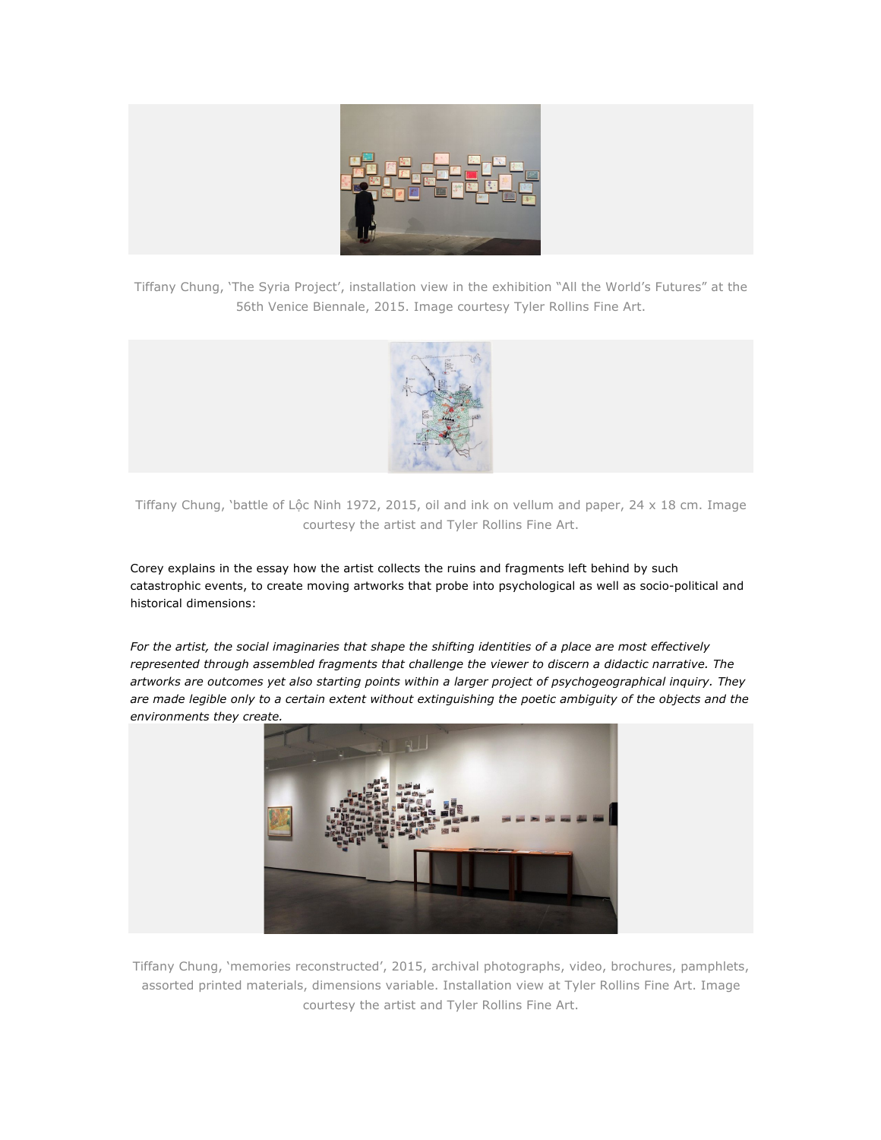

Tiffany Chung, 'The Syria Project', installation view in the exhibition "All the World's Futures" at the 56th Venice Biennale, 2015. Image courtesy Tyler Rollins Fine Art.



Tiffany Chung, 'battle of Lộc Ninh 1972, 2015, oil and ink on vellum and paper, 24 x 18 cm. Image courtesy the artist and Tyler Rollins Fine Art.

Corey explains in the essay how the artist collects the ruins and fragments left behind by such catastrophic events, to create moving artworks that probe into psychological as well as socio-political and historical dimensions:

*For the artist, the social imaginaries that shape the shifting identities of a place are most effectively represented through assembled fragments that challenge the viewer to discern a didactic narrative. The artworks are outcomes yet also starting points within a larger project of psychogeographical inquiry. They are made legible only to a certain extent without extinguishing the poetic ambiguity of the objects and the environments they create.*



Tiffany Chung, 'memories reconstructed', 2015, archival photographs, video, brochures, pamphlets, assorted printed materials, dimensions variable. Installation view at Tyler Rollins Fine Art. Image courtesy the artist and Tyler Rollins Fine Art.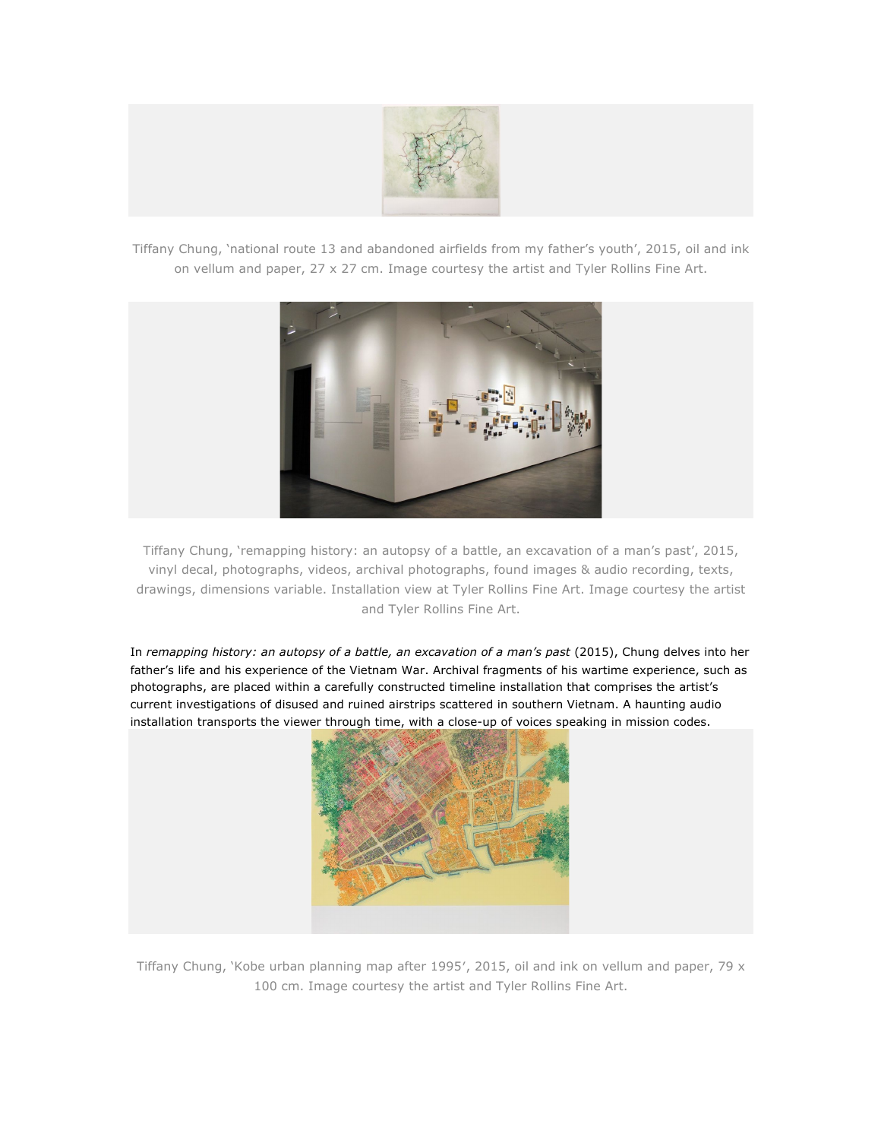

Tiffany Chung, 'national route 13 and abandoned airfields from my father's youth', 2015, oil and ink on vellum and paper, 27 x 27 cm. Image courtesy the artist and Tyler Rollins Fine Art.



Tiffany Chung, 'remapping history: an autopsy of a battle, an excavation of a man's past', 2015, vinyl decal, photographs, videos, archival photographs, found images & audio recording, texts, drawings, dimensions variable. Installation view at Tyler Rollins Fine Art. Image courtesy the artist and Tyler Rollins Fine Art.

In *remapping history: an autopsy of a battle, an excavation of a man's past* (2015), Chung delves into her father's life and his experience of the Vietnam War. Archival fragments of his wartime experience, such as photographs, are placed within a carefully constructed timeline installation that comprises the artist's current investigations of disused and ruined airstrips scattered in southern Vietnam. A haunting audio installation transports the viewer through time, with a close-up of voices speaking in mission codes.



Tiffany Chung, 'Kobe urban planning map after 1995", 2015, oil and ink on vellum and paper, 79 x 100 cm. Image courtesy the artist and Tyler Rollins Fine Art.